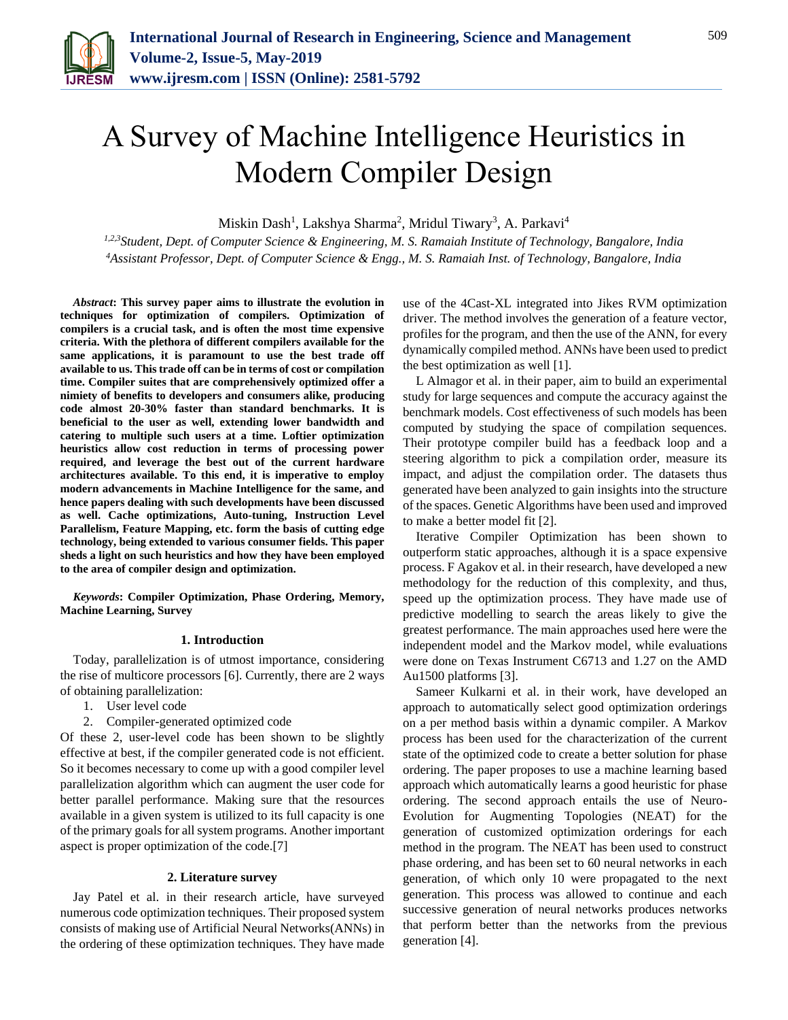

# A Survey of Machine Intelligence Heuristics in Modern Compiler Design

Miskin Dash<sup>1</sup>, Lakshya Sharma<sup>2</sup>, Mridul Tiwary<sup>3</sup>, A. Parkavi<sup>4</sup>

*1,2,3Student, Dept. of Computer Science & Engineering, M. S. Ramaiah Institute of Technology, Bangalore, India <sup>4</sup>Assistant Professor, Dept. of Computer Science & Engg., M. S. Ramaiah Inst. of Technology, Bangalore, India*

*Abstract***: This survey paper aims to illustrate the evolution in techniques for optimization of compilers. Optimization of compilers is a crucial task, and is often the most time expensive criteria. With the plethora of different compilers available for the same applications, it is paramount to use the best trade off available to us. This trade off can be in terms of cost or compilation time. Compiler suites that are comprehensively optimized offer a nimiety of benefits to developers and consumers alike, producing code almost 20-30% faster than standard benchmarks. It is beneficial to the user as well, extending lower bandwidth and catering to multiple such users at a time. Loftier optimization heuristics allow cost reduction in terms of processing power required, and leverage the best out of the current hardware architectures available. To this end, it is imperative to employ modern advancements in Machine Intelligence for the same, and hence papers dealing with such developments have been discussed as well. Cache optimizations, Auto-tuning, Instruction Level Parallelism, Feature Mapping, etc. form the basis of cutting edge technology, being extended to various consumer fields. This paper sheds a light on such heuristics and how they have been employed to the area of compiler design and optimization.**

*Keywords***: Compiler Optimization, Phase Ordering, Memory, Machine Learning, Survey**

## **1. Introduction**

Today, parallelization is of utmost importance, considering the rise of multicore processors [6]. Currently, there are 2 ways of obtaining parallelization:

- 1. User level code
- 2. Compiler-generated optimized code

Of these 2, user-level code has been shown to be slightly effective at best, if the compiler generated code is not efficient. So it becomes necessary to come up with a good compiler level parallelization algorithm which can augment the user code for better parallel performance. Making sure that the resources available in a given system is utilized to its full capacity is one of the primary goals for all system programs. Another important aspect is proper optimization of the code.[7]

## **2. Literature survey**

Jay Patel et al. in their research article, have surveyed numerous code optimization techniques. Their proposed system consists of making use of Artificial Neural Networks(ANNs) in the ordering of these optimization techniques. They have made

use of the 4Cast-XL integrated into Jikes RVM optimization driver. The method involves the generation of a feature vector, profiles for the program, and then the use of the ANN, for every dynamically compiled method. ANNs have been used to predict the best optimization as well [1].

L Almagor et al. in their paper, aim to build an experimental study for large sequences and compute the accuracy against the benchmark models. Cost effectiveness of such models has been computed by studying the space of compilation sequences. Their prototype compiler build has a feedback loop and a steering algorithm to pick a compilation order, measure its impact, and adjust the compilation order. The datasets thus generated have been analyzed to gain insights into the structure of the spaces. Genetic Algorithms have been used and improved to make a better model fit [2].

Iterative Compiler Optimization has been shown to outperform static approaches, although it is a space expensive process. F Agakov et al. in their research, have developed a new methodology for the reduction of this complexity, and thus, speed up the optimization process. They have made use of predictive modelling to search the areas likely to give the greatest performance. The main approaches used here were the independent model and the Markov model, while evaluations were done on Texas Instrument C6713 and 1.27 on the AMD Au1500 platforms [3].

Sameer Kulkarni et al. in their work, have developed an approach to automatically select good optimization orderings on a per method basis within a dynamic compiler. A Markov process has been used for the characterization of the current state of the optimized code to create a better solution for phase ordering. The paper proposes to use a machine learning based approach which automatically learns a good heuristic for phase ordering. The second approach entails the use of Neuro-Evolution for Augmenting Topologies (NEAT) for the generation of customized optimization orderings for each method in the program. The NEAT has been used to construct phase ordering, and has been set to 60 neural networks in each generation, of which only 10 were propagated to the next generation. This process was allowed to continue and each successive generation of neural networks produces networks that perform better than the networks from the previous generation [4].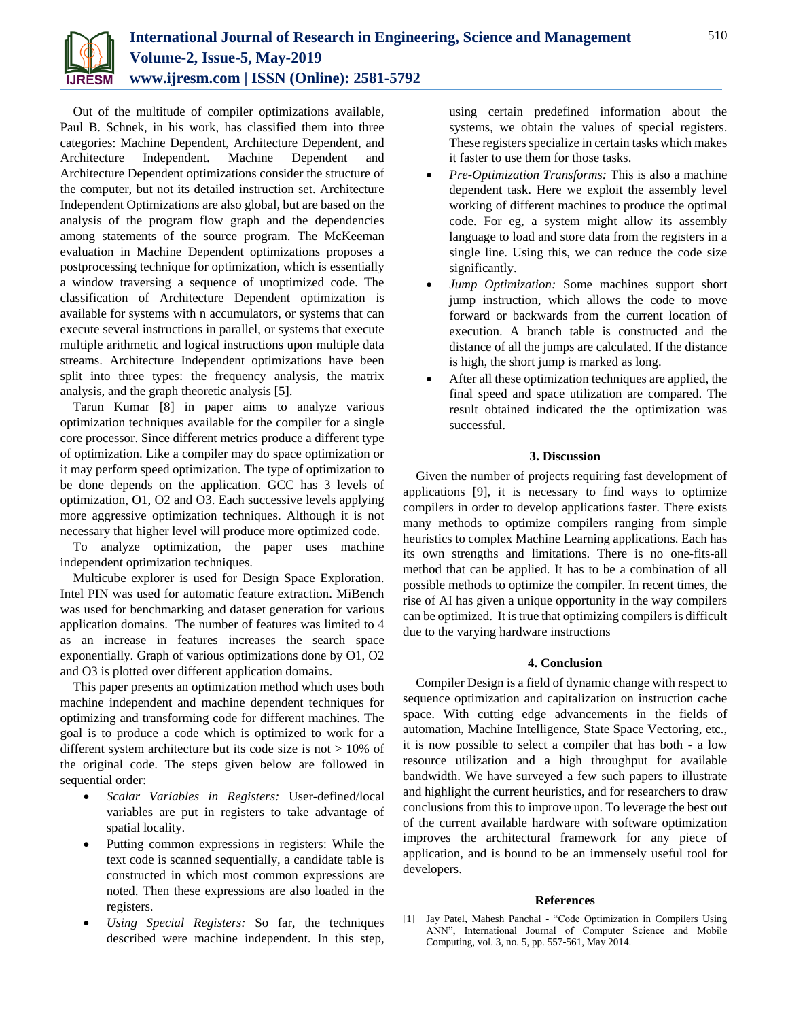

Out of the multitude of compiler optimizations available, Paul B. Schnek, in his work, has classified them into three categories: Machine Dependent, Architecture Dependent, and Architecture Independent. Machine Dependent and Architecture Dependent optimizations consider the structure of the computer, but not its detailed instruction set. Architecture Independent Optimizations are also global, but are based on the analysis of the program flow graph and the dependencies among statements of the source program. The McKeeman evaluation in Machine Dependent optimizations proposes a postprocessing technique for optimization, which is essentially a window traversing a sequence of unoptimized code. The classification of Architecture Dependent optimization is available for systems with n accumulators, or systems that can execute several instructions in parallel, or systems that execute multiple arithmetic and logical instructions upon multiple data streams. Architecture Independent optimizations have been split into three types: the frequency analysis, the matrix analysis, and the graph theoretic analysis [5].

Tarun Kumar [8] in paper aims to analyze various optimization techniques available for the compiler for a single core processor. Since different metrics produce a different type of optimization. Like a compiler may do space optimization or it may perform speed optimization. The type of optimization to be done depends on the application. GCC has 3 levels of optimization, O1, O2 and O3. Each successive levels applying more aggressive optimization techniques. Although it is not necessary that higher level will produce more optimized code.

To analyze optimization, the paper uses machine independent optimization techniques.

Multicube explorer is used for Design Space Exploration. Intel PIN was used for automatic feature extraction. MiBench was used for benchmarking and dataset generation for various application domains. The number of features was limited to 4 as an increase in features increases the search space exponentially. Graph of various optimizations done by O1, O2 and O3 is plotted over different application domains.

This paper presents an optimization method which uses both machine independent and machine dependent techniques for optimizing and transforming code for different machines. The goal is to produce a code which is optimized to work for a different system architecture but its code size is not > 10% of the original code. The steps given below are followed in sequential order:

- *Scalar Variables in Registers:* User-defined/local variables are put in registers to take advantage of spatial locality.
- Putting common expressions in registers: While the text code is scanned sequentially, a candidate table is constructed in which most common expressions are noted. Then these expressions are also loaded in the registers.
- *Using Special Registers:* So far, the techniques described were machine independent. In this step,

using certain predefined information about the systems, we obtain the values of special registers. These registers specialize in certain tasks which makes it faster to use them for those tasks.

- *Pre-Optimization Transforms:* This is also a machine dependent task. Here we exploit the assembly level working of different machines to produce the optimal code. For eg, a system might allow its assembly language to load and store data from the registers in a single line. Using this, we can reduce the code size significantly.
- *Jump Optimization:* Some machines support short jump instruction, which allows the code to move forward or backwards from the current location of execution. A branch table is constructed and the distance of all the jumps are calculated. If the distance is high, the short jump is marked as long.
- After all these optimization techniques are applied, the final speed and space utilization are compared. The result obtained indicated the the optimization was successful.

## **3. Discussion**

Given the number of projects requiring fast development of applications [9], it is necessary to find ways to optimize compilers in order to develop applications faster. There exists many methods to optimize compilers ranging from simple heuristics to complex Machine Learning applications. Each has its own strengths and limitations. There is no one-fits-all method that can be applied. It has to be a combination of all possible methods to optimize the compiler. In recent times, the rise of AI has given a unique opportunity in the way compilers can be optimized. It is true that optimizing compilers is difficult due to the varying hardware instructions

## **4. Conclusion**

Compiler Design is a field of dynamic change with respect to sequence optimization and capitalization on instruction cache space. With cutting edge advancements in the fields of automation, Machine Intelligence, State Space Vectoring, etc., it is now possible to select a compiler that has both - a low resource utilization and a high throughput for available bandwidth. We have surveyed a few such papers to illustrate and highlight the current heuristics, and for researchers to draw conclusions from this to improve upon. To leverage the best out of the current available hardware with software optimization improves the architectural framework for any piece of application, and is bound to be an immensely useful tool for developers.

## **References**

[1] Jay Patel, Mahesh Panchal - "Code Optimization in Compilers Using ANN", International Journal of Computer Science and Mobile Computing, vol. 3, no. 5, pp. 557-561, May 2014.